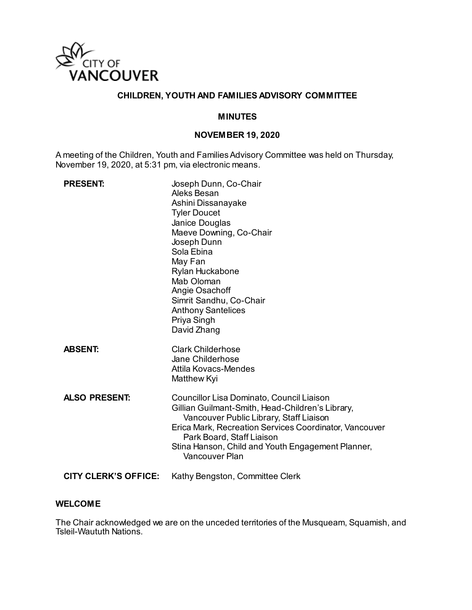

## **CHILDREN, YOUTH AND FAMILIES ADVISORY COMMITTEE**

### **MINUTES**

### **NOVEMBER 19, 2020**

A meeting of the Children, Youth and Families Advisory Committee was held on Thursday, November 19, 2020, at 5:31 pm, via electronic means.

| <b>PRESENT:</b>             | Joseph Dunn, Co-Chair<br>Aleks Besan<br>Ashini Dissanayake<br><b>Tyler Doucet</b><br>Janice Douglas<br>Maeve Downing, Co-Chair<br>Joseph Dunn<br>Sola Ebina<br>May Fan<br>Rylan Huckabone<br>Mab Oloman<br>Angie Osachoff<br>Simrit Sandhu, Co-Chair<br><b>Anthony Santelices</b><br>Priya Singh<br>David Zhang |
|-----------------------------|-----------------------------------------------------------------------------------------------------------------------------------------------------------------------------------------------------------------------------------------------------------------------------------------------------------------|
| <b>ABSENT:</b>              | <b>Clark Childerhose</b><br>Jane Childerhose<br><b>Attila Kovacs-Mendes</b><br>Matthew Kyi                                                                                                                                                                                                                      |
| <b>ALSO PRESENT:</b>        | Councillor Lisa Dominato, Council Liaison<br>Gillian Guilmant-Smith, Head-Children's Library,<br>Vancouver Public Library, Staff Liaison<br>Erica Mark, Recreation Services Coordinator, Vancouver<br>Park Board, Staff Liaison<br>Stina Hanson, Child and Youth Engagement Planner,<br>Vancouver Plan          |
| <b>CITY CLERK'S OFFICE:</b> | Kathy Bengston, Committee Clerk                                                                                                                                                                                                                                                                                 |

#### **WELCOME**

The Chair acknowledged we are on the unceded territories of the Musqueam, Squamish, and Tsleil-Waututh Nations.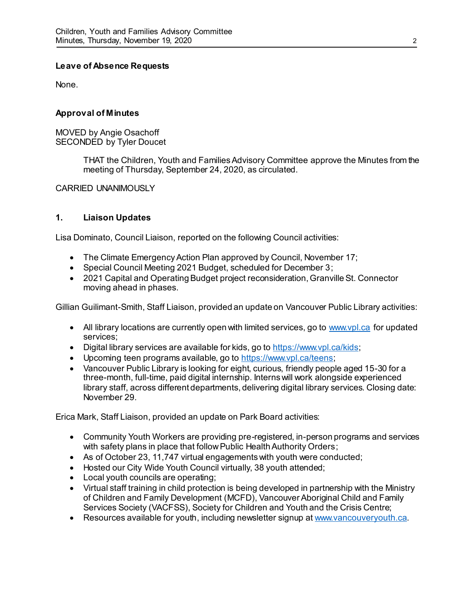## **Leave of Absence Requests**

None.

### **Approval of Minutes**

MOVED by Angie Osachoff SECONDED by Tyler Doucet

> THAT the Children, Youth and Families Advisory Committee approve the Minutes from the meeting of Thursday, September 24, 2020, as circulated.

CARRIED UNANIMOUSLY

## **1. Liaison Updates**

Lisa Dominato, Council Liaison, reported on the following Council activities:

- The Climate Emergency Action Plan approved by Council, November 17;
- Special Council Meeting 2021 Budget, scheduled for December 3;
- 2021 Capital and Operating Budget project reconsideration, Granville St. Connector moving ahead in phases.

Gillian Guilimant-Smith, Staff Liaison, provided an update on Vancouver Public Library activities:

- All library locations are currently open with limited services, go to [www.vpl.ca](http://www.vpl.ca/) for updated services;
- Digital library services are available for kids, go t[o https://www.vpl.ca/kids](https://www.vpl.ca/kids);
- Upcoming teen programs available, go t[o https://www.vpl.ca/teens](https://www.vpl.ca/teens);
- Vancouver Public Library is looking for eight, curious, friendly people aged 15-30 for a three-month, full-time, paid digital internship. Interns will work alongside experienced library staff, across different departments, delivering digital library services. Closing date: November 29.

Erica Mark, Staff Liaison, provided an update on Park Board activities:

- Community Youth Workers are providing pre-registered, in-person programs and services with safety plans in place that follow Public Health Authority Orders;
- As of October 23, 11,747 virtual engagements with youth were conducted;
- Hosted our City Wide Youth Council virtually, 38 youth attended;
- Local youth councils are operating;
- Virtual staff training in child protection is being developed in partnership with the Ministry of Children and Family Development (MCFD), Vancouver Aboriginal Child and Family Services Society (VACFSS), Society for Children and Youth and the Crisis Centre;
- Resources available for youth, including newsletter signup a[t www.vancouveryouth.ca](http://www.vancouveryouth.ca/).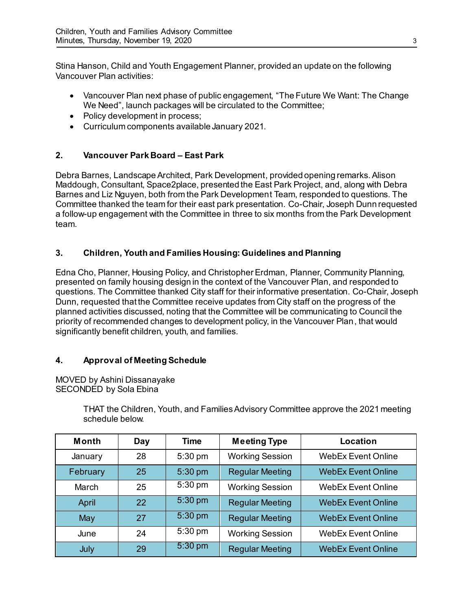Stina Hanson, Child and Youth Engagement Planner, provided an update on the following Vancouver Plan activities:

- Vancouver Plan next phase of public engagement, "The Future We Want: The Change We Need", launch packages will be circulated to the Committee;
- Policy development in process:
- Curriculum components available January 2021.

# **2. Vancouver Park Board – East Park**

Debra Barnes, Landscape Architect, Park Development, provided opening remarks. Alison Maddough, Consultant, Space2place, presented the East Park Project, and, along with Debra Barnes and Liz Nguyen, both from the Park Development Team, responded to questions. The Committee thanked the team for their east park presentation. Co-Chair, Joseph Dunn requested a follow-up engagement with the Committee in three to six months from the Park Development team.

# **3. Children, Youth and Families Housing: Guidelines and Planning**

Edna Cho, Planner, Housing Policy, and Christopher Erdman, Planner, Community Planning, presented on family housing design in the context of the Vancouver Plan, and responded to questions. The Committee thanked City staff for their informative presentation. Co-Chair, Joseph Dunn, requested that the Committee receive updates from City staff on the progress of the planned activities discussed, noting that the Committee will be communicating to Council the priority of recommended changes to development policy, in the Vancouver Plan, that would significantly benefit children, youth, and families.

# **4. Approval of Meeting Schedule**

MOVED by Ashini Dissanayake SECONDED by Sola Ebina

> THAT the Children, Youth, and Families Advisory Committee approve the 2021 meeting schedule below.

| Month    | Day | <b>Time</b> | <b>Meeting Type</b>    | Location                  |
|----------|-----|-------------|------------------------|---------------------------|
| January  | 28  | 5:30 pm     | <b>Working Session</b> | <b>WebEx Event Online</b> |
| February | 25  | 5:30 pm     | <b>Regular Meeting</b> | <b>WebEx Event Online</b> |
| March    | 25  | $5:30$ pm   | <b>Working Session</b> | <b>WebEx Event Online</b> |
| April    | 22  | 5:30 pm     | <b>Regular Meeting</b> | <b>WebEx Event Online</b> |
| May      | 27  | 5:30 pm     | <b>Regular Meeting</b> | <b>WebEx Event Online</b> |
| June     | 24  | $5:30$ pm   | <b>Working Session</b> | <b>WebEx Event Online</b> |
| July     | 29  | 5:30 pm     | <b>Regular Meeting</b> | <b>WebEx Event Online</b> |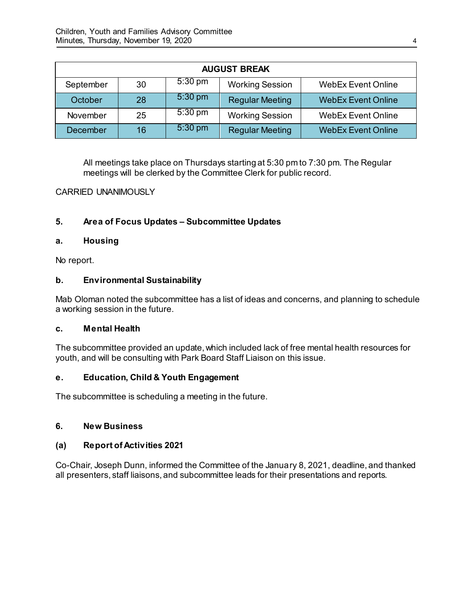| <b>AUGUST BREAK</b> |    |                   |                        |                           |
|---------------------|----|-------------------|------------------------|---------------------------|
| September           | 30 | $5:30 \text{ pm}$ | <b>Working Session</b> | <b>WebEx Event Online</b> |
| October             | 28 | $5:30$ pm         | <b>Regular Meeting</b> | <b>WebEx Event Online</b> |
| November            | 25 | $5:30 \text{ pm}$ | <b>Working Session</b> | <b>WebEx Event Online</b> |
| December            | 16 | $5:30$ pm         | <b>Regular Meeting</b> | <b>WebEx Event Online</b> |

All meetings take place on Thursdays starting at 5:30 pm to 7:30 pm. The Regular meetings will be clerked by the Committee Clerk for public record.

### CARRIED UNANIMOUSLY

# **5. Area of Focus Updates – Subcommittee Updates**

### **a. Housing**

No report.

### **b. Environmental Sustainability**

Mab Oloman noted the subcommittee has a list of ideas and concerns, and planning to schedule a working session in the future.

### **c. Mental Health**

The subcommittee provided an update, which included lack of free mental health resources for youth, and will be consulting with Park Board Staff Liaison on this issue.

## **e. Education, Child & Youth Engagement**

The subcommittee is scheduling a meeting in the future.

### **6. New Business**

### **(a) Report of Activities 2021**

Co-Chair, Joseph Dunn, informed the Committee of the January 8, 2021, deadline, and thanked all presenters, staff liaisons, and subcommittee leads for their presentations and reports.